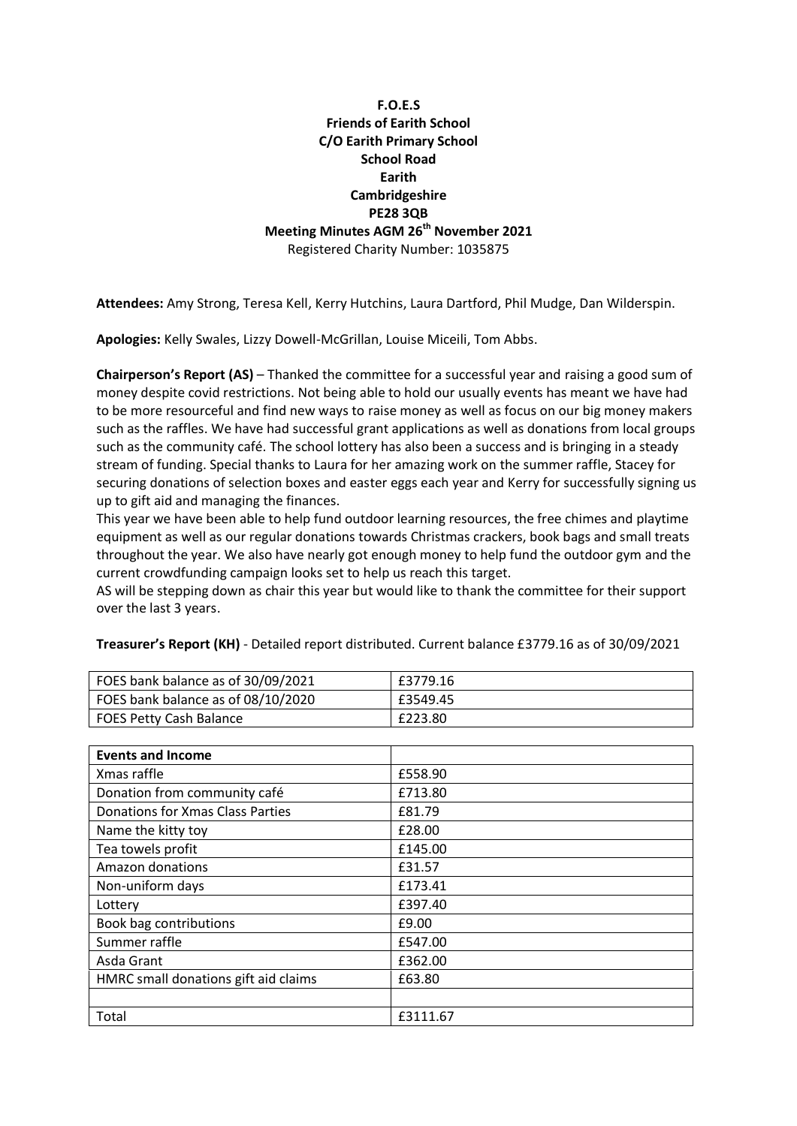# **F.O.E.S Friends of Earith School C/O Earith Primary School School Road Earith Cambridgeshire PE28 3QB Meeting Minutes AGM 26th November 2021** Registered Charity Number: 1035875

**Attendees:** Amy Strong, Teresa Kell, Kerry Hutchins, Laura Dartford, Phil Mudge, Dan Wilderspin.

**Apologies:** Kelly Swales, Lizzy Dowell-McGrillan, Louise Miceili, Tom Abbs.

**Chairperson's Report (AS)** – Thanked the committee for a successful year and raising a good sum of money despite covid restrictions. Not being able to hold our usually events has meant we have had to be more resourceful and find new ways to raise money as well as focus on our big money makers such as the raffles. We have had successful grant applications as well as donations from local groups such as the community café. The school lottery has also been a success and is bringing in a steady stream of funding. Special thanks to Laura for her amazing work on the summer raffle, Stacey for securing donations of selection boxes and easter eggs each year and Kerry for successfully signing us up to gift aid and managing the finances.

This year we have been able to help fund outdoor learning resources, the free chimes and playtime equipment as well as our regular donations towards Christmas crackers, book bags and small treats throughout the year. We also have nearly got enough money to help fund the outdoor gym and the current crowdfunding campaign looks set to help us reach this target.

AS will be stepping down as chair this year but would like to thank the committee for their support over the last 3 years.

| FOES bank balance as of 30/09/2021 | £3779.16 |
|------------------------------------|----------|
| FOES bank balance as of 08/10/2020 | £3549.45 |
| FOES Petty Cash Balance            | £223.80  |

| FOES bank balance as of 30/09/2021 | £3779.16 |
|------------------------------------|----------|
| FOES bank balance as of 08/10/2020 | £3549.45 |
| FOES Petty Cash Balance            | £223.80  |

**Treasurer's Report (KH)** - Detailed report distributed. Current balance £3779.16 as of 30/09/2021

| <b>Events and Income</b>             |          |
|--------------------------------------|----------|
| Xmas raffle                          | £558.90  |
| Donation from community café         | £713.80  |
| Donations for Xmas Class Parties     | £81.79   |
| Name the kitty toy                   | £28.00   |
| Tea towels profit                    | £145.00  |
| Amazon donations                     | £31.57   |
| Non-uniform days                     | £173.41  |
| Lottery                              | £397.40  |
| Book bag contributions               | £9.00    |
| Summer raffle                        | £547.00  |
| Asda Grant                           | £362.00  |
| HMRC small donations gift aid claims | £63.80   |
|                                      |          |
| Total                                | £3111.67 |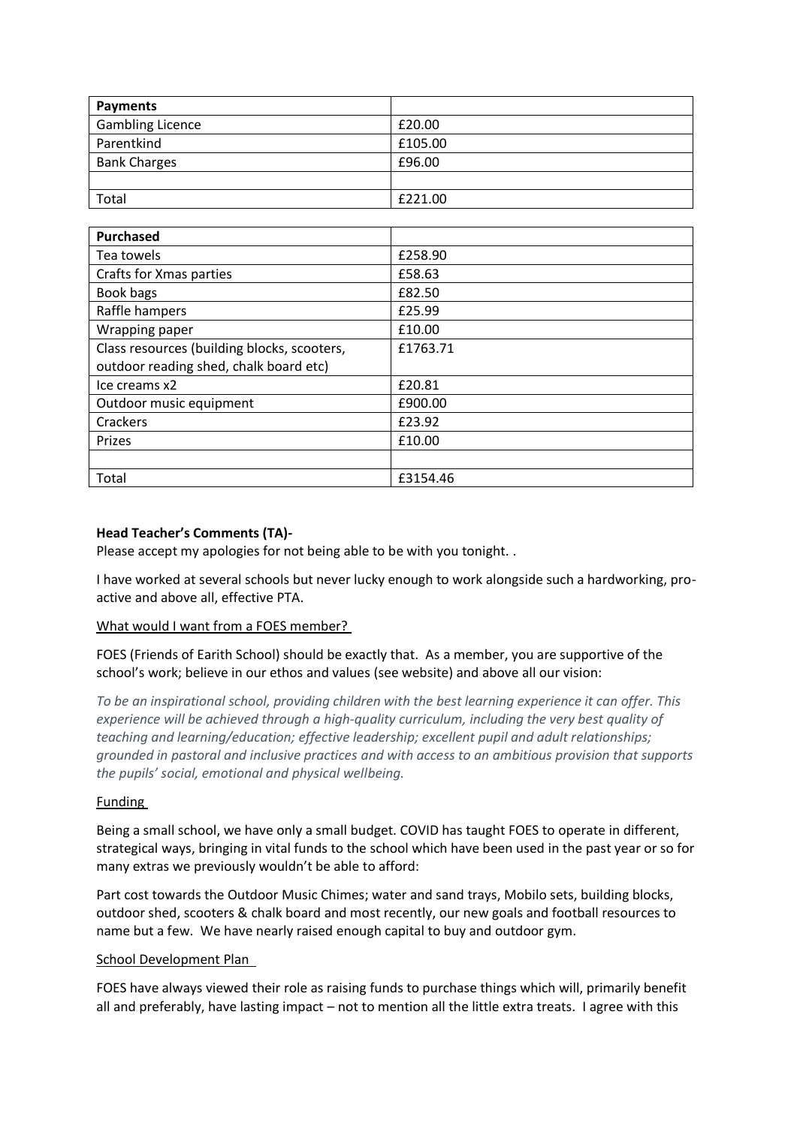| <b>Payments</b>         |         |
|-------------------------|---------|
| <b>Gambling Licence</b> | £20.00  |
| Parentkind              | £105.00 |
| <b>Bank Charges</b>     | £96.00  |
|                         |         |
| Total                   | £221.00 |

| <b>Purchased</b>                            |          |
|---------------------------------------------|----------|
| Tea towels                                  | £258.90  |
| Crafts for Xmas parties                     | £58.63   |
| Book bags                                   | £82.50   |
| Raffle hampers                              | £25.99   |
| Wrapping paper                              | £10.00   |
| Class resources (building blocks, scooters, | £1763.71 |
| outdoor reading shed, chalk board etc)      |          |
| Ice creams x2                               | £20.81   |
| Outdoor music equipment                     | £900.00  |
| Crackers                                    | £23.92   |
| Prizes                                      | £10.00   |
|                                             |          |
| Total                                       | £3154.46 |

## **Head Teacher's Comments (TA)-**

Please accept my apologies for not being able to be with you tonight. .

I have worked at several schools but never lucky enough to work alongside such a hardworking, proactive and above all, effective PTA.

#### What would I want from a FOES member?

FOES (Friends of Earith School) should be exactly that. As a member, you are supportive of the school's work; believe in our ethos and values (see website) and above all our vision:

*To be an inspirational school, providing children with the best learning experience it can offer. This experience will be achieved through a high-quality curriculum, including the very best quality of teaching and learning/education; effective leadership; excellent pupil and adult relationships; grounded in pastoral and inclusive practices and with access to an ambitious provision that supports the pupils' social, emotional and physical wellbeing.*

#### Funding

Being a small school, we have only a small budget. COVID has taught FOES to operate in different, strategical ways, bringing in vital funds to the school which have been used in the past year or so for many extras we previously wouldn't be able to afford:

Part cost towards the Outdoor Music Chimes; water and sand trays, Mobilo sets, building blocks, outdoor shed, scooters & chalk board and most recently, our new goals and football resources to name but a few. We have nearly raised enough capital to buy and outdoor gym.

#### School Development Plan

FOES have always viewed their role as raising funds to purchase things which will, primarily benefit all and preferably, have lasting impact – not to mention all the little extra treats. I agree with this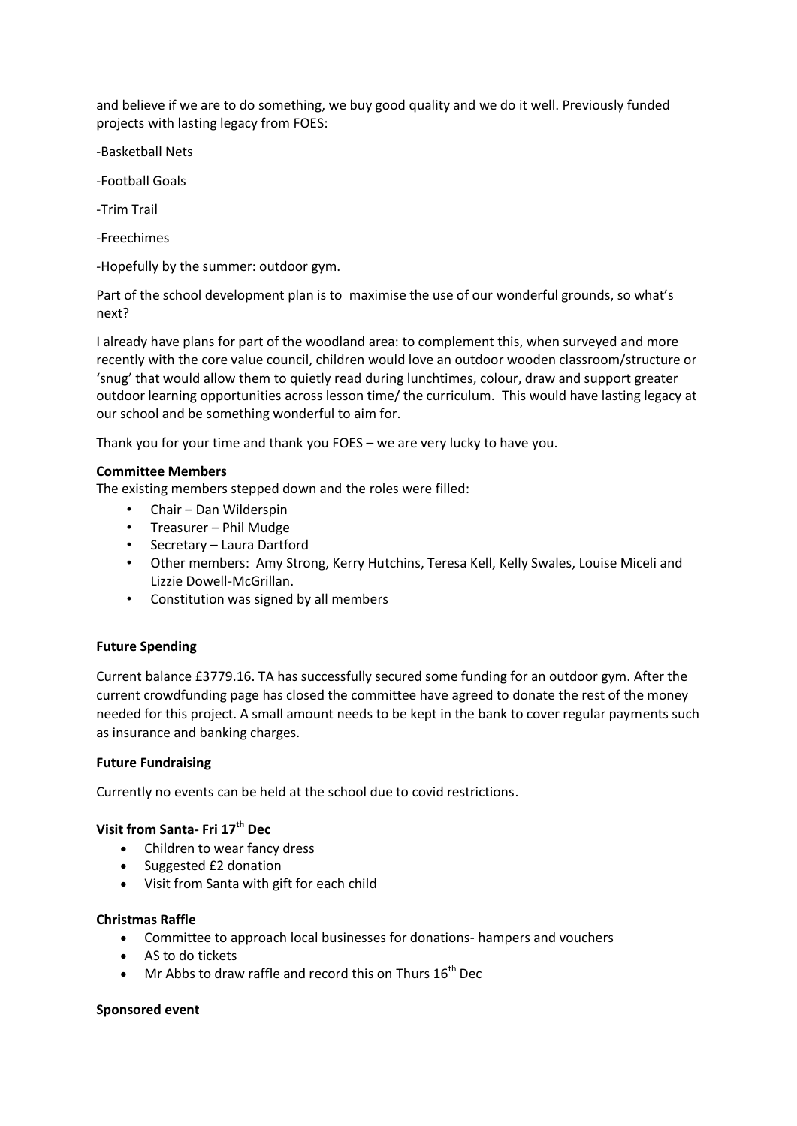and believe if we are to do something, we buy good quality and we do it well. Previously funded projects with lasting legacy from FOES:

-Basketball Nets

-Football Goals

-Trim Trail

-Freechimes

-Hopefully by the summer: outdoor gym.

Part of the school development plan is to maximise the use of our wonderful grounds, so what's next?

I already have plans for part of the woodland area: to complement this, when surveyed and more recently with the core value council, children would love an outdoor wooden classroom/structure or 'snug' that would allow them to quietly read during lunchtimes, colour, draw and support greater outdoor learning opportunities across lesson time/ the curriculum. This would have lasting legacy at our school and be something wonderful to aim for.

Thank you for your time and thank you FOES – we are very lucky to have you.

## **Committee Members**

The existing members stepped down and the roles were filled:

- Chair Dan Wilderspin
- Treasurer Phil Mudge
- Secretary Laura Dartford
- Other members: Amy Strong, Kerry Hutchins, Teresa Kell, Kelly Swales, Louise Miceli and Lizzie Dowell-McGrillan.
- Constitution was signed by all members

#### **Future Spending**

Current balance £3779.16. TA has successfully secured some funding for an outdoor gym. After the current crowdfunding page has closed the committee have agreed to donate the rest of the money needed for this project. A small amount needs to be kept in the bank to cover regular payments such as insurance and banking charges.

#### **Future Fundraising**

Currently no events can be held at the school due to covid restrictions.

## **Visit from Santa- Fri 17th Dec**

- Children to wear fancy dress
- Suggested £2 donation
- Visit from Santa with gift for each child

#### **Christmas Raffle**

- Committee to approach local businesses for donations- hampers and vouchers
- AS to do tickets
- $\bullet$  Mr Abbs to draw raffle and record this on Thurs 16<sup>th</sup> Dec

#### **Sponsored event**